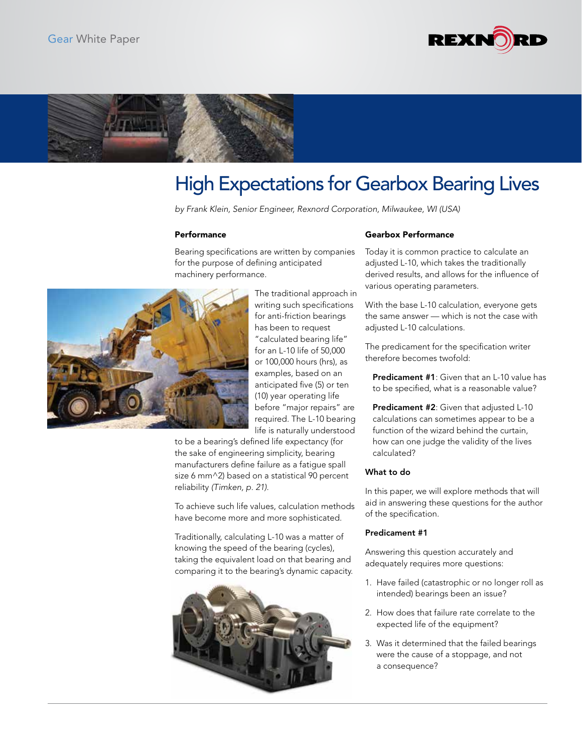



# High Expectations for Gearbox Bearing Lives

*by Frank Klein, Senior Engineer, Rexnord Corporation, Milwaukee, WI (USA)*

#### **Performance**

Bearing specifications are written by companies for the purpose of defining anticipated machinery performance.



The traditional approach in writing such specifications for anti-friction bearings has been to request "calculated bearing life" for an L-10 life of 50,000 or 100,000 hours (hrs), as examples, based on an anticipated five (5) or ten (10) year operating life before "major repairs" are required. The L-10 bearing life is naturally understood

to be a bearing's defined life expectancy (for the sake of engineering simplicity, bearing manufacturers define failure as a fatigue spall size 6 mm^2) based on a statistical 90 percent reliability *(Timken, p. 21)*.

To achieve such life values, calculation methods have become more and more sophisticated.

Traditionally, calculating L-10 was a matter of knowing the speed of the bearing (cycles), taking the equivalent load on that bearing and comparing it to the bearing's dynamic capacity.



## Gearbox Performance

Today it is common practice to calculate an adjusted L-10, which takes the traditionally derived results, and allows for the influence of various operating parameters.

With the base L-10 calculation, everyone gets the same answer — which is not the case with adjusted L-10 calculations.

The predicament for the specification writer therefore becomes twofold:

Predicament #1: Given that an L-10 value has to be specified, what is a reasonable value?

Predicament #2: Given that adjusted L-10 calculations can sometimes appear to be a function of the wizard behind the curtain, how can one judge the validity of the lives calculated?

## What to do

In this paper, we will explore methods that will aid in answering these questions for the author of the specification.

## Predicament #1

Answering this question accurately and adequately requires more questions:

- 1. Have failed (catastrophic or no longer roll as intended) bearings been an issue?
- 2. How does that failure rate correlate to the expected life of the equipment?
- 3. Was it determined that the failed bearings were the cause of a stoppage, and not a consequence?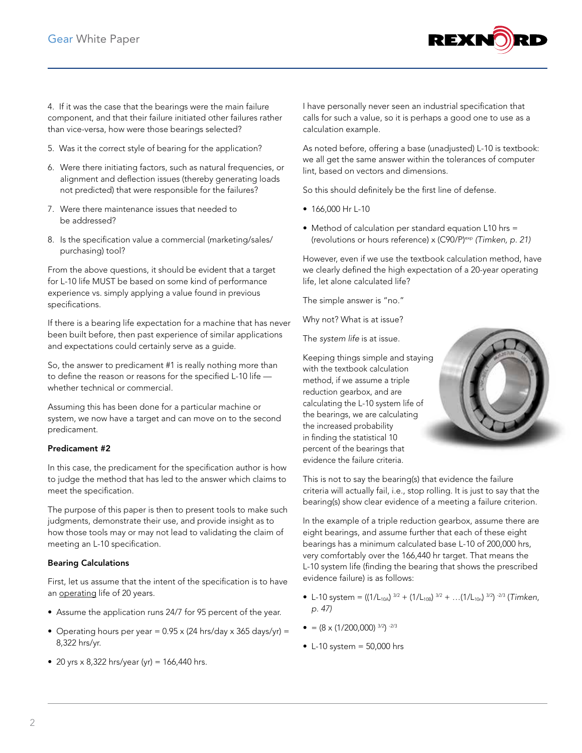

4. If it was the case that the bearings were the main failure component, and that their failure initiated other failures rather than vice-versa, how were those bearings selected?

- 5. Was it the correct style of bearing for the application?
- 6. Were there initiating factors, such as natural frequencies, or alignment and deflection issues (thereby generating loads not predicted) that were responsible for the failures?
- 7. Were there maintenance issues that needed to be addressed?
- 8. Is the specification value a commercial (marketing/sales/ purchasing) tool?

From the above questions, it should be evident that a target for L-10 life MUST be based on some kind of performance experience vs. simply applying a value found in previous specifications.

If there is a bearing life expectation for a machine that has never been built before, then past experience of similar applications and expectations could certainly serve as a guide.

So, the answer to predicament #1 is really nothing more than to define the reason or reasons for the specified L-10 life whether technical or commercial.

Assuming this has been done for a particular machine or system, we now have a target and can move on to the second predicament.

## Predicament #2

In this case, the predicament for the specification author is how to judge the method that has led to the answer which claims to meet the specification.

The purpose of this paper is then to present tools to make such judgments, demonstrate their use, and provide insight as to how those tools may or may not lead to validating the claim of meeting an L-10 specification.

## Bearing Calculations

First, let us assume that the intent of the specification is to have an operating life of 20 years.

- Assume the application runs 24/7 for 95 percent of the year.
- Operating hours per year =  $0.95 \times (24 \text{ hrs/day} \times 365 \text{ days/yr}) =$ 8,322 hrs/yr.
- 20 yrs  $\times$  8,322 hrs/year (yr) = 166,440 hrs.

I have personally never seen an industrial specification that calls for such a value, so it is perhaps a good one to use as a calculation example.

As noted before, offering a base (unadjusted) L-10 is textbook: we all get the same answer within the tolerances of computer lint, based on vectors and dimensions.

So this should definitely be the first line of defense.

- 166,000 Hr L-10
- Method of calculation per standard equation L10 hrs = (revolutions or hours reference) x (C90/P)exp *(Timken, p. 21)*

However, even if we use the textbook calculation method, have we clearly defined the high expectation of a 20-year operating life, let alone calculated life?

The simple answer is "no."

Why not? What is at issue?

The *system life* is at issue.

Keeping things simple and staying with the textbook calculation method, if we assume a triple reduction gearbox, and are calculating the L-10 system life of the bearings, we are calculating the increased probability in finding the statistical 10 percent of the bearings that evidence the failure criteria.



This is not to say the bearing(s) that evidence the failure criteria will actually fail, i.e., stop rolling. It is just to say that the bearing(s) show clear evidence of a meeting a failure criterion.

In the example of a triple reduction gearbox, assume there are eight bearings, and assume further that each of these eight bearings has a minimum calculated base L-10 of 200,000 hrs, very comfortably over the 166,440 hr target. That means the L-10 system life (finding the bearing that shows the prescribed evidence failure) is as follows:

- L-10 system =  $((1/L_{10A})^{3/2} + (1/L_{10B})^{3/2} + ... (1/L_{10n})^{3/2})^{-2/3}$  (*Timken*, *p. 47)*
- $\bullet$  = (8 x (1/200,000) 3/2) -2/3
- $\bullet$  L-10 system = 50,000 hrs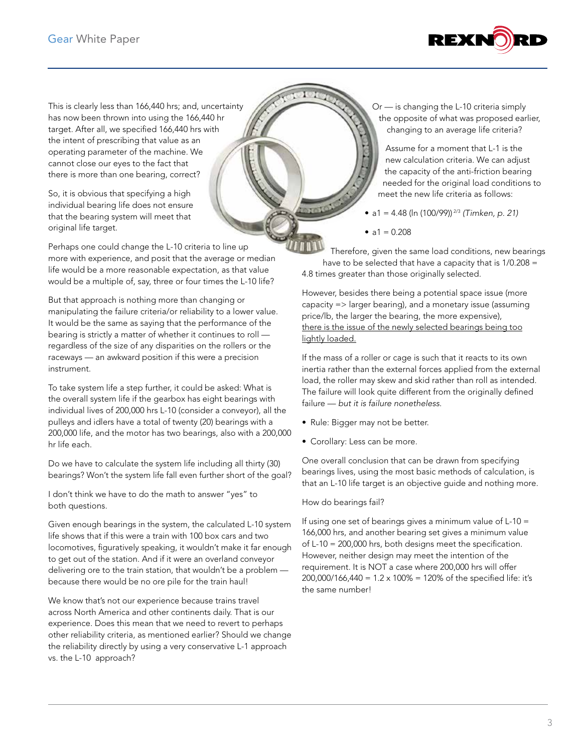

This is clearly less than 166,440 hrs; and, uncertainty has now been thrown into using the 166,440 hr target. After all, we specified 166,440 hrs with the intent of prescribing that value as an operating parameter of the machine. We cannot close our eyes to the fact that there is more than one bearing, correct?

So, it is obvious that specifying a high individual bearing life does not ensure that the bearing system will meet that original life target.

Perhaps one could change the L-10 criteria to line up more with experience, and posit that the average or median life would be a more reasonable expectation, as that value would be a multiple of, say, three or four times the L-10 life?

But that approach is nothing more than changing or manipulating the failure criteria/or reliability to a lower value. It would be the same as saying that the performance of the bearing is strictly a matter of whether it continues to roll regardless of the size of any disparities on the rollers or the raceways — an awkward position if this were a precision instrument.

To take system life a step further, it could be asked: What is the overall system life if the gearbox has eight bearings with individual lives of 200,000 hrs L-10 (consider a conveyor), all the pulleys and idlers have a total of twenty (20) bearings with a 200,000 life, and the motor has two bearings, also with a 200,000 hr life each.

Do we have to calculate the system life including all thirty (30) bearings? Won't the system life fall even further short of the goal?

I don't think we have to do the math to answer "yes" to both questions.

Given enough bearings in the system, the calculated L-10 system life shows that if this were a train with 100 box cars and two locomotives, figuratively speaking, it wouldn't make it far enough to get out of the station. And if it were an overland conveyor delivering ore to the train station, that wouldn't be a problem because there would be no ore pile for the train haul!

We know that's not our experience because trains travel across North America and other continents daily. That is our experience. Does this mean that we need to revert to perhaps other reliability criteria, as mentioned earlier? Should we change the reliability directly by using a very conservative L-1 approach vs. the L-10 approach?

Or — is changing the L-10 criteria simply the opposite of what was proposed earlier, changing to an average life criteria?

Assume for a moment that L-1 is the new calculation criteria. We can adjust the capacity of the anti-friction bearing needed for the original load conditions to meet the new life criteria as follows:

• a1 = 4.48 (ln (100/99)) 2/3 *(Timken, p. 21)*

•  $a1 = 0.208$ 

Therefore, given the same load conditions, new bearings have to be selected that have a capacity that is 1/0.208 = 4.8 times greater than those originally selected.

However, besides there being a potential space issue (more capacity => larger bearing), and a monetary issue (assuming price/lb, the larger the bearing, the more expensive), there is the issue of the newly selected bearings being too lightly loaded.

If the mass of a roller or cage is such that it reacts to its own inertia rather than the external forces applied from the external load, the roller may skew and skid rather than roll as intended. The failure will look quite different from the originally defined failure — *but it is failure nonetheless*.

- Rule: Bigger may not be better.
- Corollary: Less can be more.

One overall conclusion that can be drawn from specifying bearings lives, using the most basic methods of calculation, is that an L-10 life target is an objective guide and nothing more.

How do bearings fail?

If using one set of bearings gives a minimum value of L-10 = 166,000 hrs, and another bearing set gives a minimum value of L-10 = 200,000 hrs, both designs meet the specification. However, neither design may meet the intention of the requirement. It is NOT a case where 200,000 hrs will offer 200,000/166,440 = 1.2 x 100% = 120% of the specified life: it's the same number!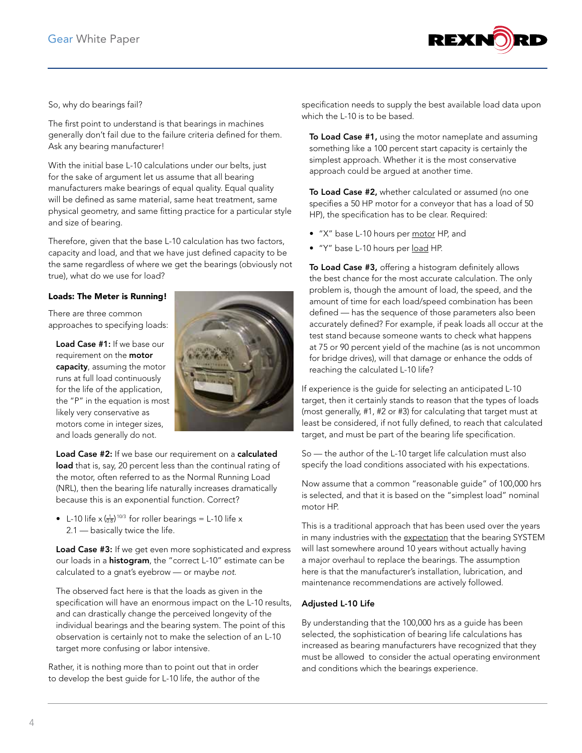

## So, why do bearings fail?

The first point to understand is that bearings in machines generally don't fail due to the failure criteria defined for them. Ask any bearing manufacturer!

With the initial base L-10 calculations under our belts, just for the sake of argument let us assume that all bearing manufacturers make bearings of equal quality. Equal quality will be defined as same material, same heat treatment, same physical geometry, and same fitting practice for a particular style and size of bearing.

Therefore, given that the base L-10 calculation has two factors, capacity and load, and that we have just defined capacity to be the same regardless of where we get the bearings (obviously not true), what do we use for load?

## Loads: The Meter is Running!

There are three common approaches to specifying loads:

Load Case #1: If we base our requirement on the **motor** capacity, assuming the motor runs at full load continuously for the life of the application, the "P" in the equation is most likely very conservative as motors come in integer sizes, and loads generally do not.



Load Case #2: If we base our requirement on a calculated load that is, say, 20 percent less than the continual rating of the motor, often referred to as the Normal Running Load (NRL), then the bearing life naturally increases dramatically because this is an exponential function. Correct?

• L-10 life  $x \left( \frac{1}{0.8} \right)$ <sup>10/3</sup> for roller bearings = L-10 life x 2.1 — basically twice the life.

Load Case #3: If we get even more sophisticated and express our loads in a **histogram**, the "correct L-10" estimate can be calculated to a gnat's eyebrow — or maybe *not*.

The observed fact here is that the loads as given in the specification will have an enormous impact on the L-10 results, and can drastically change the perceived longevity of the individual bearings and the bearing system. The point of this observation is certainly not to make the selection of an L-10 target more confusing or labor intensive.

Rather, it is nothing more than to point out that in order to develop the best guide for L-10 life, the author of the specification needs to supply the best available load data upon which the L-10 is to be based.

To Load Case #1, using the motor nameplate and assuming something like a 100 percent start capacity is certainly the simplest approach. Whether it is the most conservative approach could be argued at another time.

To Load Case #2, whether calculated or assumed (no one specifies a 50 HP motor for a conveyor that has a load of 50 HP), the specification has to be clear. Required:

- "X" base L-10 hours per motor HP, and
- "Y" base L-10 hours per load HP.

To Load Case #3, offering a histogram definitely allows the best chance for the most accurate calculation. The only problem is, though the amount of load, the speed, and the amount of time for each load/speed combination has been defined — has the sequence of those parameters also been accurately defined? For example, if peak loads all occur at the test stand because someone wants to check what happens at 75 or 90 percent yield of the machine (as is not uncommon for bridge drives), will that damage or enhance the odds of reaching the calculated L-10 life?

If experience is the guide for selecting an anticipated L-10 target, then it certainly stands to reason that the types of loads (most generally, #1, #2 or #3) for calculating that target must at least be considered, if not fully defined, to reach that calculated target, and must be part of the bearing life specification.

So — the author of the L-10 target life calculation must also specify the load conditions associated with his expectations.

Now assume that a common "reasonable guide" of 100,000 hrs is selected, and that it is based on the "simplest load" nominal motor HP.

This is a traditional approach that has been used over the years in many industries with the expectation that the bearing SYSTEM will last somewhere around 10 years without actually having a major overhaul to replace the bearings. The assumption here is that the manufacturer's installation, lubrication, and maintenance recommendations are actively followed.

## Adjusted L-10 Life

By understanding that the 100,000 hrs as a guide has been selected, the sophistication of bearing life calculations has increased as bearing manufacturers have recognized that they must be allowed to consider the actual operating environment and conditions which the bearings experience.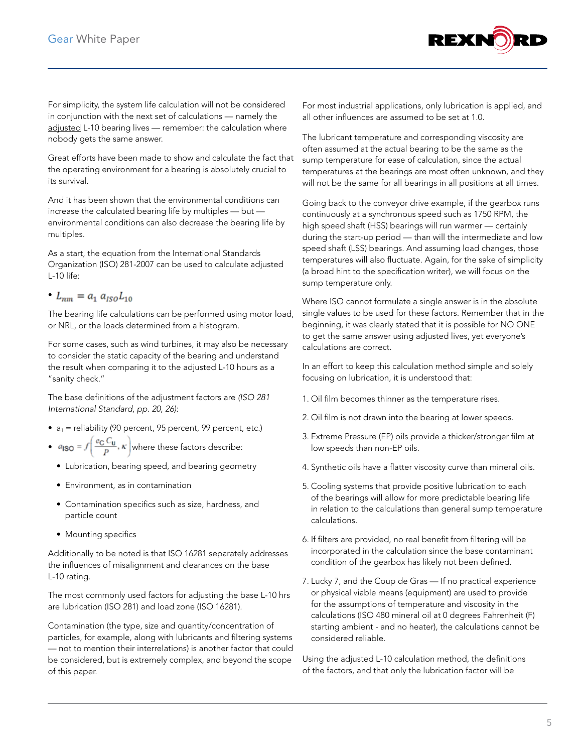

For simplicity, the system life calculation will not be considered in conjunction with the next set of calculations — namely the adjusted L-10 bearing lives — remember: the calculation where nobody gets the same answer.

Great efforts have been made to show and calculate the fact that the operating environment for a bearing is absolutely crucial to its survival.

And it has been shown that the environmental conditions can increase the calculated bearing life by multiples — but environmental conditions can also decrease the bearing life by multiples.

As a start, the equation from the International Standards Organization (ISO) 281-2007 can be used to calculate adjusted L-10 life:

•  $L_{nm} = a_1 a_{ISO} L_{10}$ 

The bearing life calculations can be performed using motor load, or NRL, or the loads determined from a histogram.

For some cases, such as wind turbines, it may also be necessary to consider the static capacity of the bearing and understand the result when comparing it to the adjusted L-10 hours as a "sanity check."

The base definitions of the adjustment factors are *(ISO 281 International Standard, pp. 20, 26)*:

- $a_1$  = reliability (90 percent, 95 percent, 99 percent, etc.)
- $a_{\text{ISO}} = f\left(\frac{e_{\text{C}} C_{\text{U}}}{p}, \kappa\right)$  where these factors describe:
	- Lubrication, bearing speed, and bearing geometry
	- Environment, as in contamination
	- Contamination specifics such as size, hardness, and particle count
	- Mounting specifics

Additionally to be noted is that ISO 16281 separately addresses the influences of misalignment and clearances on the base L-10 rating.

The most commonly used factors for adjusting the base L-10 hrs are lubrication (ISO 281) and load zone (ISO 16281).

Contamination (the type, size and quantity/concentration of particles, for example, along with lubricants and filtering systems — not to mention their interrelations) is another factor that could be considered, but is extremely complex, and beyond the scope of this paper.

For most industrial applications, only lubrication is applied, and all other influences are assumed to be set at 1.0.

The lubricant temperature and corresponding viscosity are often assumed at the actual bearing to be the same as the sump temperature for ease of calculation, since the actual temperatures at the bearings are most often unknown, and they will not be the same for all bearings in all positions at all times.

Going back to the conveyor drive example, if the gearbox runs continuously at a synchronous speed such as 1750 RPM, the high speed shaft (HSS) bearings will run warmer — certainly during the start-up period — than will the intermediate and low speed shaft (LSS) bearings. And assuming load changes, those temperatures will also fluctuate. Again, for the sake of simplicity (a broad hint to the specification writer), we will focus on the sump temperature only.

Where ISO cannot formulate a single answer is in the absolute single values to be used for these factors. Remember that in the beginning, it was clearly stated that it is possible for NO ONE to get the same answer using adjusted lives, yet everyone's calculations are correct.

In an effort to keep this calculation method simple and solely focusing on lubrication, it is understood that:

- 1. Oil film becomes thinner as the temperature rises.
- 2. Oil film is not drawn into the bearing at lower speeds.
- 3. Extreme Pressure (EP) oils provide a thicker/stronger film at low speeds than non-EP oils.
- 4. Synthetic oils have a flatter viscosity curve than mineral oils.
- 5. Cooling systems that provide positive lubrication to each of the bearings will allow for more predictable bearing life in relation to the calculations than general sump temperature calculations.
- 6. If filters are provided, no real benefit from filtering will be incorporated in the calculation since the base contaminant condition of the gearbox has likely not been defined.
- 7. Lucky 7, and the Coup de Gras If no practical experience or physical viable means (equipment) are used to provide for the assumptions of temperature and viscosity in the calculations (ISO 480 mineral oil at 0 degrees Fahrenheit (F) starting ambient - and no heater), the calculations cannot be considered reliable.

Using the adjusted L-10 calculation method, the definitions of the factors, and that only the lubrication factor will be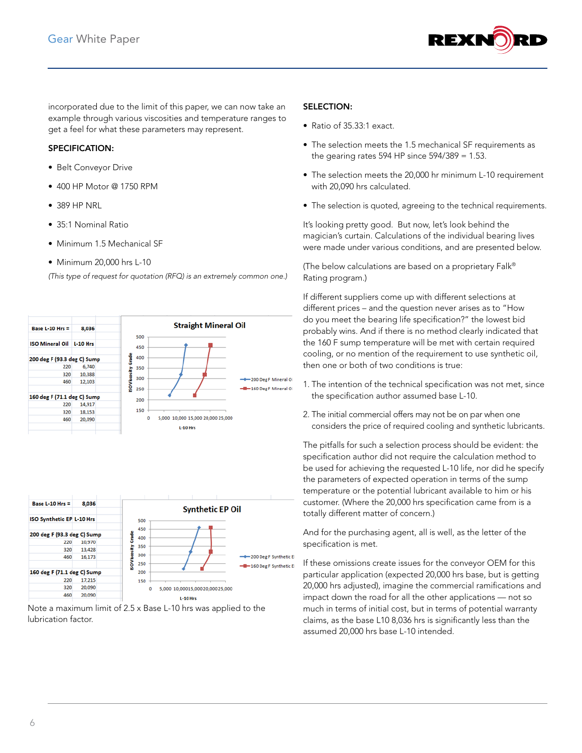

incorporated due to the limit of this paper, we can now take an example through various viscosities and temperature ranges to get a feel for what these parameters may represent.

#### SPECIFICATION:

- Belt Conveyor Drive
- 400 HP Motor @ 1750 RPM
- 389 HP NRL
- 35:1 Nominal Ratio
- Minimum 1.5 Mechanical SF
- Minimum 20,000 hrs L-10

*(This type of request for quotation (RFQ) is an extremely common one.)*





Note a maximum limit of 2.5 x Base L-10 hrs was applied to the lubrication factor.

#### SELECTION:

- Ratio of 35.33:1 exact.
- The selection meets the 1.5 mechanical SF requirements as the gearing rates 594 HP since  $594/389 = 1.53$ .
- The selection meets the 20,000 hr minimum L-10 requirement with 20,090 hrs calculated.
- The selection is quoted, agreeing to the technical requirements.

It's looking pretty good. But now, let's look behind the magician's curtain. Calculations of the individual bearing lives were made under various conditions, and are presented below.

(The below calculations are based on a proprietary Falk® Rating program.)

If different suppliers come up with different selections at different prices – and the question never arises as to "How do you meet the bearing life specification?" the lowest bid probably wins. And if there is no method clearly indicated that the 160 F sump temperature will be met with certain required cooling, or no mention of the requirement to use synthetic oil, then one or both of two conditions is true:

- 1. The intention of the technical specification was not met, since the specification author assumed base L-10.
- 2. The initial commercial offers may not be on par when one considers the price of required cooling and synthetic lubricants.

The pitfalls for such a selection process should be evident: the specification author did not require the calculation method to be used for achieving the requested L-10 life, nor did he specify the parameters of expected operation in terms of the sump temperature or the potential lubricant available to him or his customer. (Where the 20,000 hrs specification came from is a totally different matter of concern.)

And for the purchasing agent, all is well, as the letter of the specification is met.

If these omissions create issues for the conveyor OEM for this particular application (expected 20,000 hrs base, but is getting 20,000 hrs adjusted), imagine the commercial ramifications and impact down the road for all the other applications — not so much in terms of initial cost, but in terms of potential warranty claims, as the base L10 8,036 hrs is significantly less than the assumed 20,000 hrs base L-10 intended.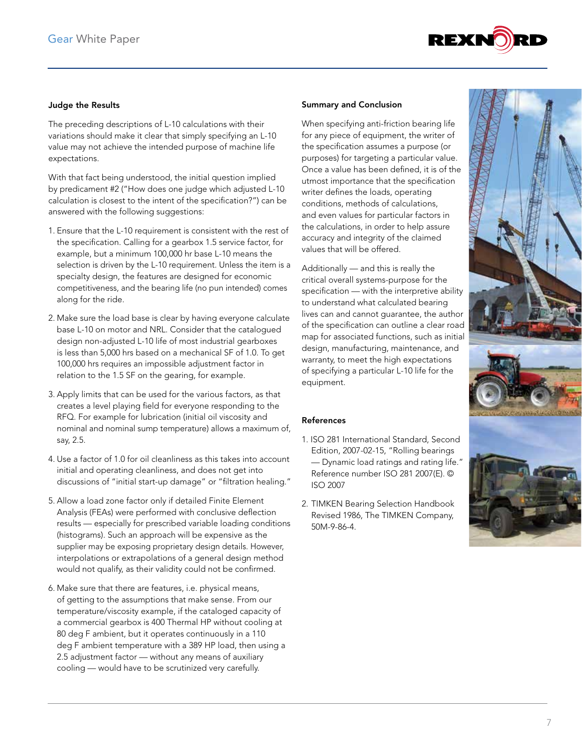

## Judge the Results

The preceding descriptions of L-10 calculations with their variations should make it clear that simply specifying an L-10 value may not achieve the intended purpose of machine life expectations.

With that fact being understood, the initial question implied by predicament #2 ("How does one judge which adjusted L-10 calculation is closest to the intent of the specification?") can be answered with the following suggestions:

- 1. Ensure that the L-10 requirement is consistent with the rest of the specification. Calling for a gearbox 1.5 service factor, for example, but a minimum 100,000 hr base L-10 means the selection is driven by the L-10 requirement. Unless the item is a specialty design, the features are designed for economic competitiveness, and the bearing life (no pun intended) comes along for the ride.
- 2. Make sure the load base is clear by having everyone calculate base L-10 on motor and NRL. Consider that the catalogued design non-adjusted L-10 life of most industrial gearboxes is less than 5,000 hrs based on a mechanical SF of 1.0. To get 100,000 hrs requires an impossible adjustment factor in relation to the 1.5 SF on the gearing, for example.
- 3. Apply limits that can be used for the various factors, as that creates a level playing field for everyone responding to the RFQ. For example for lubrication (initial oil viscosity and nominal and nominal sump temperature) allows a maximum of, say, 2.5.
- 4. Use a factor of 1.0 for oil cleanliness as this takes into account initial and operating cleanliness, and does not get into discussions of "initial start-up damage" or "filtration healing."
- 5. Allow a load zone factor only if detailed Finite Element Analysis (FEAs) were performed with conclusive deflection results — especially for prescribed variable loading conditions (histograms). Such an approach will be expensive as the supplier may be exposing proprietary design details. However, interpolations or extrapolations of a general design method would not qualify, as their validity could not be confirmed.
- 6. Make sure that there are features, i.e. physical means, of getting to the assumptions that make sense. From our temperature/viscosity example, if the cataloged capacity of a commercial gearbox is 400 Thermal HP without cooling at 80 deg F ambient, but it operates continuously in a 110 deg F ambient temperature with a 389 HP load, then using a 2.5 adjustment factor — without any means of auxiliary cooling — would have to be scrutinized very carefully.

#### Summary and Conclusion

When specifying anti-friction bearing life for any piece of equipment, the writer of the specification assumes a purpose (or purposes) for targeting a particular value. Once a value has been defined, it is of the utmost importance that the specification writer defines the loads, operating conditions, methods of calculations, and even values for particular factors in the calculations, in order to help assure accuracy and integrity of the claimed values that will be offered.

Additionally — and this is really the critical overall systems-purpose for the specification — with the interpretive ability to understand what calculated bearing lives can and cannot guarantee, the author of the specification can outline a clear road map for associated functions, such as initial design, manufacturing, maintenance, and warranty, to meet the high expectations of specifying a particular L-10 life for the equipment.

#### References

- 1. ISO 281 International Standard, Second Edition, 2007-02-15, "Rolling bearings — Dynamic load ratings and rating life." Reference number ISO 281 2007(E). © ISO 2007
- 2. TIMKEN Bearing Selection Handbook Revised 1986, The TIMKEN Company, 50M-9-86-4.